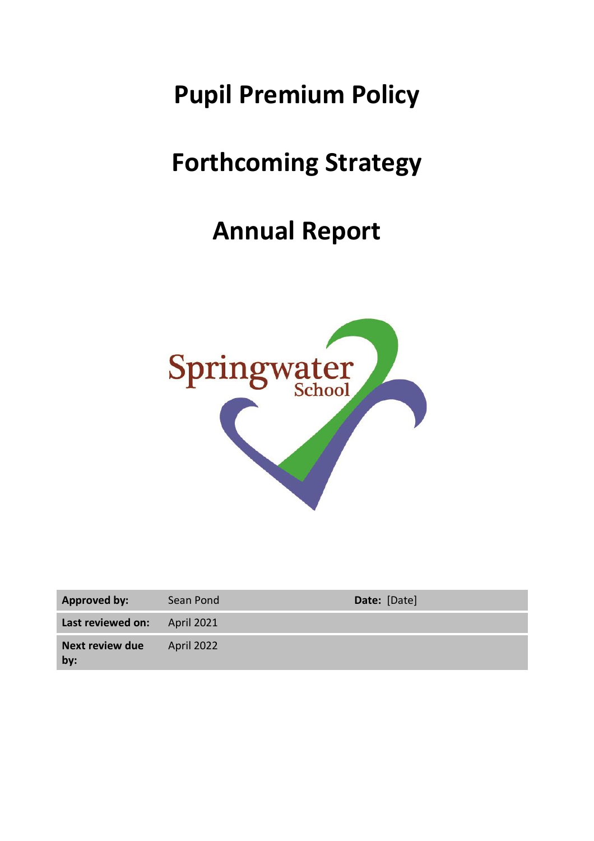# **Pupil Premium Policy**

# **Forthcoming Strategy**

# **Annual Report**



| <b>Approved by:</b>           | Sean Pond         | Date: [Date] |
|-------------------------------|-------------------|--------------|
| Last reviewed on:             | <b>April 2021</b> |              |
| <b>Next review due</b><br>by: | April 2022        |              |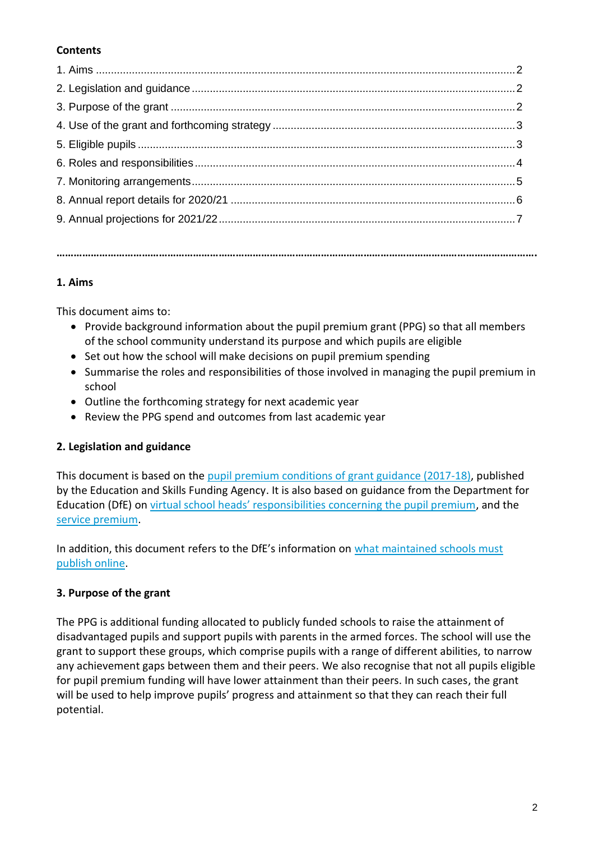# **Contents**

#### **1. Aims**

This document aims to:

• Provide background information about the pupil premium grant (PPG) so that all members of the school community understand its purpose and which pupils are eligible

**…………………………………………………………………………………………………………………………………………………….**

- Set out how the school will make decisions on pupil premium spending
- Summarise the roles and responsibilities of those involved in managing the pupil premium in school
- Outline the forthcoming strategy for next academic year
- Review the PPG spend and outcomes from last academic year

### **2. Legislation and guidance**

This document is based on the [pupil premium conditions of grant guidance \(2017-18\),](https://www.gov.uk/government/publications/pupil-premium-conditions-of-grant-2017-to-2018/pupil-premium-conditions-of-grant-2017-to-2018) published by the Education and Skills Funding Agency. It is also based on guidance from the Department for Education (DfE) on virtual school head[s' responsibilities concerning the pupil premium](https://www.gov.uk/guidance/pupil-premium-virtual-school-heads-responsibilities), and the [service premium.](https://www.gov.uk/guidance/service-premium-information-for-schools)

In addition, this document refers to the DfE's information on [what maintained schools must](https://www.gov.uk/guidance/what-maintained-schools-must-publish-online#pupil-premium)  [publish online.](https://www.gov.uk/guidance/what-maintained-schools-must-publish-online#pupil-premium)

### **3. Purpose of the grant**

The PPG is additional funding allocated to publicly funded schools to raise the attainment of disadvantaged pupils and support pupils with parents in the armed forces. The school will use the grant to support these groups, which comprise pupils with a range of different abilities, to narrow any achievement gaps between them and their peers. We also recognise that not all pupils eligible for pupil premium funding will have lower attainment than their peers. In such cases, the grant will be used to help improve pupils' progress and attainment so that they can reach their full potential.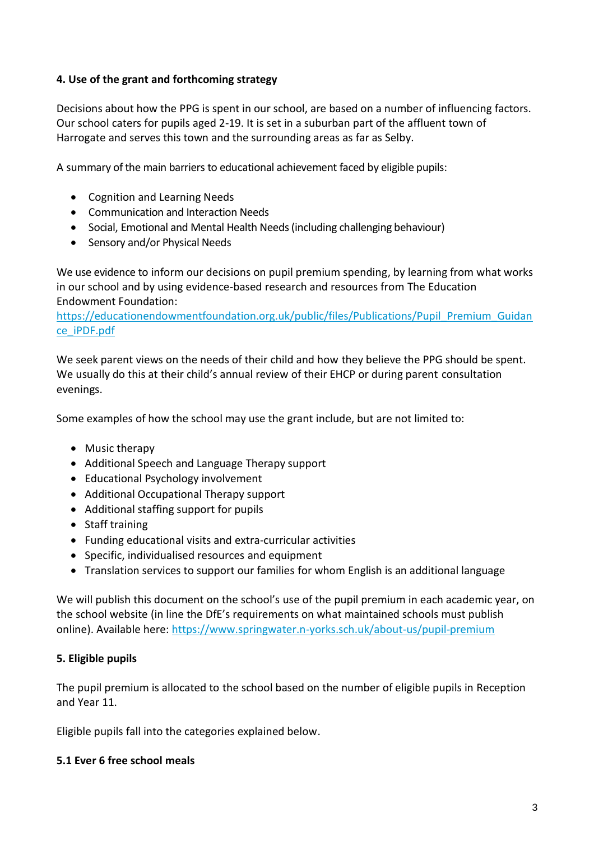#### **4. Use of the grant and forthcoming strategy**

Decisions about how the PPG is spent in our school, are based on a number of influencing factors. Our school caters for pupils aged 2-19. It is set in a suburban part of the affluent town of Harrogate and serves this town and the surrounding areas as far as Selby.

A summary of the main barriers to educational achievement faced by eligible pupils:

- Cognition and Learning Needs
- Communication and Interaction Needs
- Social, Emotional and Mental Health Needs (including challenging behaviour)
- Sensory and/or Physical Needs

We use evidence to inform our decisions on pupil premium spending, by learning from what works in our school and by using evidence-based research and resources from The Education Endowment Foundation:

[https://educationendowmentfoundation.org.uk/public/files/Publications/Pupil\\_Premium\\_Guidan](https://educationendowmentfoundation.org.uk/public/files/Publications/Pupil_Premium_Guidance_iPDF.pdf) [ce\\_iPDF.pdf](https://educationendowmentfoundation.org.uk/public/files/Publications/Pupil_Premium_Guidance_iPDF.pdf)

We seek parent views on the needs of their child and how they believe the PPG should be spent. We usually do this at their child's annual review of their EHCP or during parent consultation evenings.

Some examples of how the school may use the grant include, but are not limited to:

- Music therapy
- Additional Speech and Language Therapy support
- Educational Psychology involvement
- Additional Occupational Therapy support
- Additional staffing support for pupils
- Staff training
- Funding educational visits and extra-curricular activities
- Specific, individualised resources and equipment
- Translation services to support our families for whom English is an additional language

We will publish this document on the school's use of the pupil premium in each academic year, on the school website (in line the DfE's requirements on what maintained schools must publish online). Available here:<https://www.springwater.n-yorks.sch.uk/about-us/pupil-premium>

#### **5. Eligible pupils**

The pupil premium is allocated to the school based on the number of eligible pupils in Reception and Year 11.

Eligible pupils fall into the categories explained below.

#### **5.1 Ever 6 free school meals**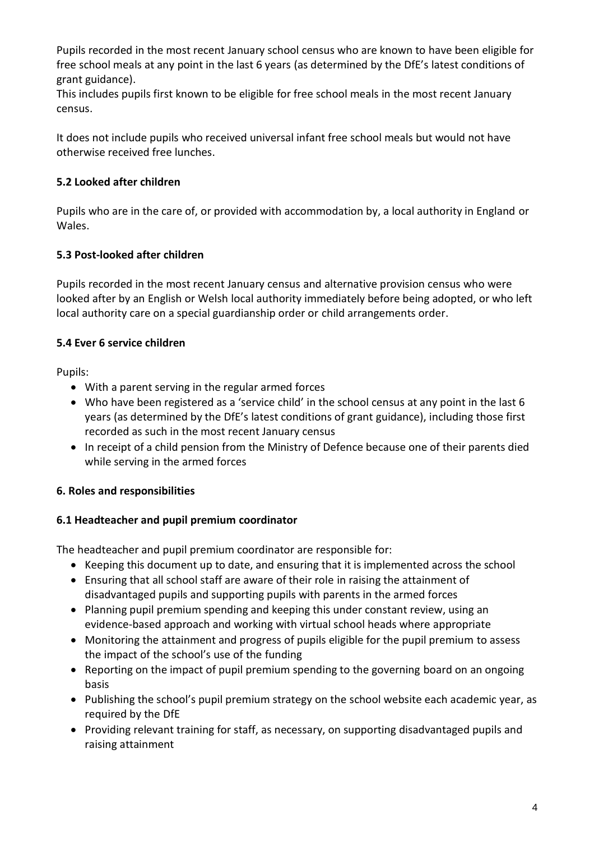Pupils recorded in the most recent January school census who are known to have been eligible for free school meals at any point in the last 6 years (as determined by the DfE's latest conditions of grant guidance).

This includes pupils first known to be eligible for free school meals in the most recent January census.

It does not include pupils who received universal infant free school meals but would not have otherwise received free lunches.

### **5.2 Looked after children**

Pupils who are in the care of, or provided with accommodation by, a local authority in England or Wales.

# **5.3 Post-looked after children**

Pupils recorded in the most recent January census and alternative provision census who were looked after by an English or Welsh local authority immediately before being adopted, or who left local authority care on a special guardianship order or child arrangements order.

# **5.4 Ever 6 service children**

Pupils:

- With a parent serving in the regular armed forces
- Who have been registered as a 'service child' in the school census at any point in the last 6 years (as determined by the DfE's latest conditions of grant guidance), including those first recorded as such in the most recent January census
- In receipt of a child pension from the Ministry of Defence because one of their parents died while serving in the armed forces

# **6. Roles and responsibilities**

### **6.1 Headteacher and pupil premium coordinator**

The headteacher and pupil premium coordinator are responsible for:

- Keeping this document up to date, and ensuring that it is implemented across the school
- Ensuring that all school staff are aware of their role in raising the attainment of disadvantaged pupils and supporting pupils with parents in the armed forces
- Planning pupil premium spending and keeping this under constant review, using an evidence-based approach and working with virtual school heads where appropriate
- Monitoring the attainment and progress of pupils eligible for the pupil premium to assess the impact of the school's use of the funding
- Reporting on the impact of pupil premium spending to the governing board on an ongoing basis
- Publishing the school's pupil premium strategy on the school website each academic year, as required by the DfE
- Providing relevant training for staff, as necessary, on supporting disadvantaged pupils and raising attainment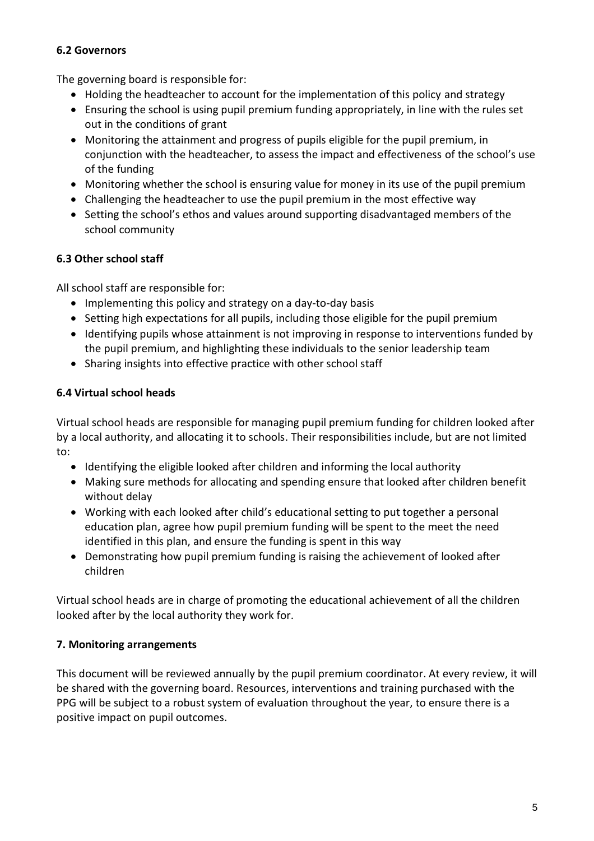### **6.2 Governors**

The governing board is responsible for:

- Holding the headteacher to account for the implementation of this policy and strategy
- Ensuring the school is using pupil premium funding appropriately, in line with the rules set out in the conditions of grant
- Monitoring the attainment and progress of pupils eligible for the pupil premium, in conjunction with the headteacher, to assess the impact and effectiveness of the school's use of the funding
- Monitoring whether the school is ensuring value for money in its use of the pupil premium
- Challenging the headteacher to use the pupil premium in the most effective way
- Setting the school's ethos and values around supporting disadvantaged members of the school community

### **6.3 Other school staff**

All school staff are responsible for:

- Implementing this policy and strategy on a day-to-day basis
- Setting high expectations for all pupils, including those eligible for the pupil premium
- Identifying pupils whose attainment is not improving in response to interventions funded by the pupil premium, and highlighting these individuals to the senior leadership team
- Sharing insights into effective practice with other school staff

#### **6.4 Virtual school heads**

Virtual school heads are responsible for managing pupil premium funding for children looked after by a local authority, and allocating it to schools. Their responsibilities include, but are not limited to:

- Identifying the eligible looked after children and informing the local authority
- Making sure methods for allocating and spending ensure that looked after children benefit without delay
- Working with each looked after child's educational setting to put together a personal education plan, agree how pupil premium funding will be spent to the meet the need identified in this plan, and ensure the funding is spent in this way
- Demonstrating how pupil premium funding is raising the achievement of looked after children

Virtual school heads are in charge of promoting the educational achievement of all the children looked after by the local authority they work for.

### **7. Monitoring arrangements**

This document will be reviewed annually by the pupil premium coordinator. At every review, it will be shared with the governing board. Resources, interventions and training purchased with the PPG will be subject to a robust system of evaluation throughout the year, to ensure there is a positive impact on pupil outcomes.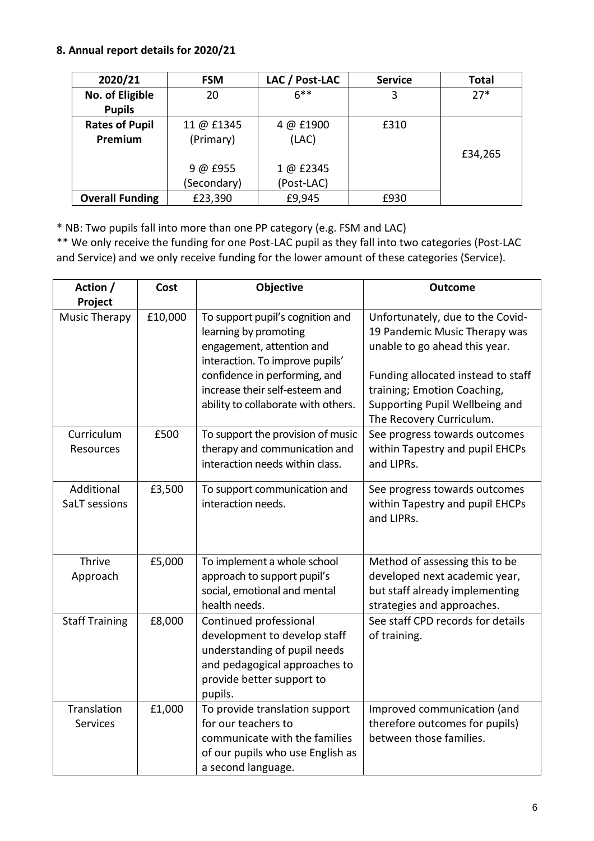#### **8. Annual report details for 2020/21**

| 2020/21                | LAC / Post-LAC<br><b>FSM</b> |            | <b>Service</b> | <b>Total</b> |
|------------------------|------------------------------|------------|----------------|--------------|
| No. of Eligible        | $6***$<br>20                 |            | 3              | $27*$        |
| <b>Pupils</b>          |                              |            |                |              |
| <b>Rates of Pupil</b>  | 11 @ £1345                   | 4 @ £1900  | £310           |              |
| Premium                | (Primary)                    | (LAC)      |                |              |
|                        |                              |            |                | £34,265      |
|                        | 9 @ £955                     | 1 @ £2345  |                |              |
|                        | (Secondary)                  | (Post-LAC) |                |              |
| <b>Overall Funding</b> | £23,390                      | £9,945     | £930           |              |

\* NB: Two pupils fall into more than one PP category (e.g. FSM and LAC)

\*\* We only receive the funding for one Post-LAC pupil as they fall into two categories (Post-LAC and Service) and we only receive funding for the lower amount of these categories (Service).

| Action /                       | Cost    | Objective                                                                                                                                                                                                                           | <b>Outcome</b>                                                                                                                                                                                                                        |
|--------------------------------|---------|-------------------------------------------------------------------------------------------------------------------------------------------------------------------------------------------------------------------------------------|---------------------------------------------------------------------------------------------------------------------------------------------------------------------------------------------------------------------------------------|
| Project                        |         |                                                                                                                                                                                                                                     |                                                                                                                                                                                                                                       |
| <b>Music Therapy</b>           | £10,000 | To support pupil's cognition and<br>learning by promoting<br>engagement, attention and<br>interaction. To improve pupils'<br>confidence in performing, and<br>increase their self-esteem and<br>ability to collaborate with others. | Unfortunately, due to the Covid-<br>19 Pandemic Music Therapy was<br>unable to go ahead this year.<br>Funding allocated instead to staff<br>training; Emotion Coaching,<br>Supporting Pupil Wellbeing and<br>The Recovery Curriculum. |
| Curriculum<br>Resources        | £500    | To support the provision of music<br>therapy and communication and<br>interaction needs within class.                                                                                                                               | See progress towards outcomes<br>within Tapestry and pupil EHCPs<br>and LIPRs.                                                                                                                                                        |
| Additional<br>SaLT sessions    | £3,500  | To support communication and<br>interaction needs.                                                                                                                                                                                  | See progress towards outcomes<br>within Tapestry and pupil EHCPs<br>and LIPRs.                                                                                                                                                        |
| Thrive<br>Approach             | £5,000  | To implement a whole school<br>approach to support pupil's<br>social, emotional and mental<br>health needs.                                                                                                                         | Method of assessing this to be<br>developed next academic year,<br>but staff already implementing<br>strategies and approaches.                                                                                                       |
| <b>Staff Training</b>          | £8,000  | Continued professional<br>development to develop staff<br>understanding of pupil needs<br>and pedagogical approaches to<br>provide better support to<br>pupils.                                                                     | See staff CPD records for details<br>of training.                                                                                                                                                                                     |
| Translation<br><b>Services</b> | £1,000  | To provide translation support<br>for our teachers to<br>communicate with the families<br>of our pupils who use English as<br>a second language.                                                                                    | Improved communication (and<br>therefore outcomes for pupils)<br>between those families.                                                                                                                                              |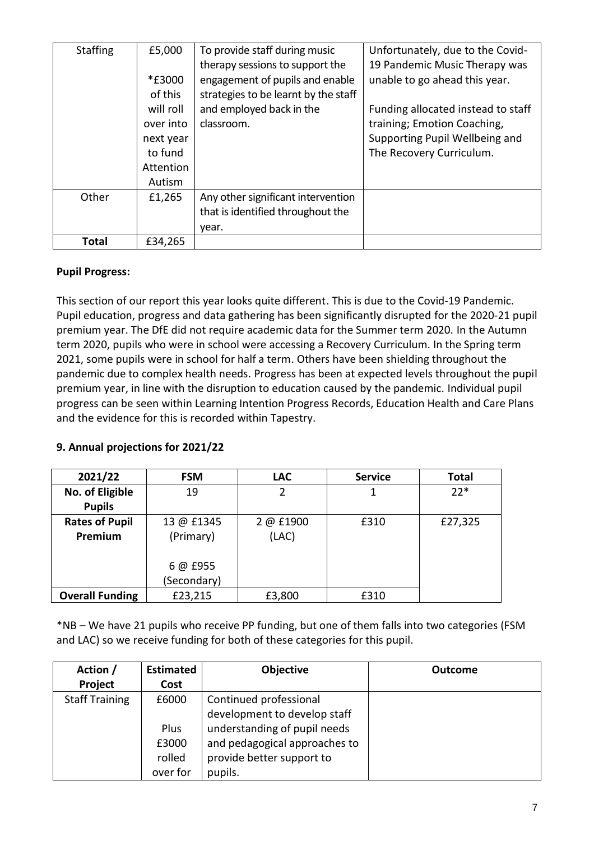| <b>Staffing</b> | £5,000    | To provide staff during music        | Unfortunately, due to the Covid-   |
|-----------------|-----------|--------------------------------------|------------------------------------|
|                 |           | therapy sessions to support the      | 19 Pandemic Music Therapy was      |
|                 | *£3000    | engagement of pupils and enable      | unable to go ahead this year.      |
|                 | of this   | strategies to be learnt by the staff |                                    |
|                 | will roll | and employed back in the             | Funding allocated instead to staff |
|                 | over into | classroom.                           | training; Emotion Coaching,        |
|                 | next year |                                      | Supporting Pupil Wellbeing and     |
|                 | to fund   |                                      | The Recovery Curriculum.           |
|                 | Attention |                                      |                                    |
|                 | Autism    |                                      |                                    |
| Other           | £1,265    | Any other significant intervention   |                                    |
|                 |           | that is identified throughout the    |                                    |
|                 |           | year.                                |                                    |
| <b>Total</b>    | £34,265   |                                      |                                    |

#### **Pupil Progress:**

This section of our report this year looks quite different. This is due to the Covid-19 Pandemic. Pupil education, progress and data gathering has been significantly disrupted for the 2020-21 pupil premium year. The DfE did not require academic data for the Summer term 2020. In the Autumn term 2020, pupils who were in school were accessing a Recovery Curriculum. In the Spring term 2021, some pupils were in school for half a term. Others have been shielding throughout the pandemic due to complex health needs. Progress has been at expected levels throughout the pupil premium year, in line with the disruption to education caused by the pandemic. Individual pupil progress can be seen within Learning Intention Progress Records, Education Health and Care Plans and the evidence for this is recorded within Tapestry.

# **9. Annual projections for 2021/22**

| 2021/22                | <b>FSM</b>              | <b>LAC</b> | <b>Service</b> | <b>Total</b> |
|------------------------|-------------------------|------------|----------------|--------------|
| No. of Eligible        | 19                      | 2          |                | $22*$        |
| <b>Pupils</b>          |                         |            |                |              |
| <b>Rates of Pupil</b>  | 2 @ £1900<br>13 @ £1345 |            | £310           | £27,325      |
| Premium                | (Primary)               | (LAC)      |                |              |
|                        |                         |            |                |              |
|                        | 6 @ £955                |            |                |              |
|                        | (Secondary)             |            |                |              |
| <b>Overall Funding</b> | £23,215                 | £3,800     | £310           |              |

\*NB – We have 21 pupils who receive PP funding, but one of them falls into two categories (FSM and LAC) so we receive funding for both of these categories for this pupil.

| Action /              | <b>Estimated</b> | <b>Objective</b>              | <b>Outcome</b> |
|-----------------------|------------------|-------------------------------|----------------|
| Project               | Cost             |                               |                |
| <b>Staff Training</b> | £6000            | Continued professional        |                |
|                       |                  | development to develop staff  |                |
|                       | Plus             | understanding of pupil needs  |                |
|                       | £3000            | and pedagogical approaches to |                |
|                       | rolled           | provide better support to     |                |
|                       | over for         | pupils.                       |                |